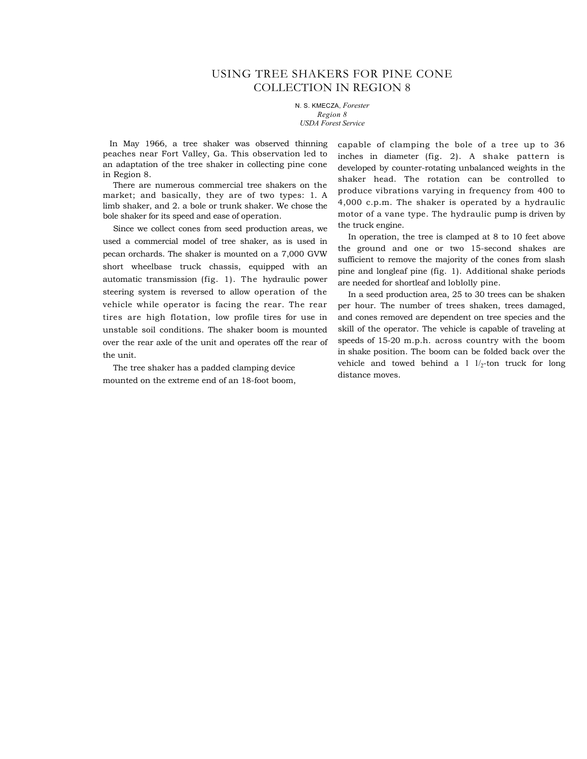## USING TREE SHAKERS FOR PINE CONE COLLECTION IN REGION 8

N. S. KMECZA, *Forester Region 8 USDA Forest Service* 

In May 1966, a tree shaker was observed thinning peaches near Fort Valley, Ga. This observation led to an adaptation of the tree shaker in collecting pine cone in Region 8.

There are numerous commercial tree shakers on the market; and basically, they are of two types: 1. A limb shaker, and 2. a bole or trunk shaker. We chose the bole shaker for its speed and ease of operation.

Since we collect cones from seed production areas, we used a commercial model of tree shaker, as is used in pecan orchards. The shaker is mounted on a 7,000 GVW short wheelbase truck chassis, equipped with an automatic transmission (fig. 1). The hydraulic power steering system is reversed to allow operation of the vehicle while operator is facing the rear. The rear tires are high flotation, low profile tires for use in unstable soil conditions. The shaker boom is mounted over the rear axle of the unit and operates off the rear of the unit.

The tree shaker has a padded clamping device mounted on the extreme end of an 18-foot boom, capable of clamping the bole of a tree up to 36 inches in diameter (fig. 2). A shake pattern is developed by counter-rotating unbalanced weights in the shaker head. The rotation can be controlled to produce vibrations varying in frequency from 400 to 4,000 c.p.m. The shaker is operated by a hydraulic motor of a vane type. The hydraulic pump is driven by the truck engine.

In operation, the tree is clamped at 8 to 10 feet above the ground and one or two 15-second shakes are sufficient to remove the majority of the cones from slash pine and longleaf pine (fig. 1). Additional shake periods are needed for shortleaf and loblolly pine.

In a seed production area, 25 to 30 trees can be shaken per hour. The number of trees shaken, trees damaged, and cones removed are dependent on tree species and the skill of the operator. The vehicle is capable of traveling at speeds of 15-20 m.p.h. across country with the boom in shake position. The boom can be folded back over the vehicle and towed behind a 1  $1/2$ -ton truck for long distance moves.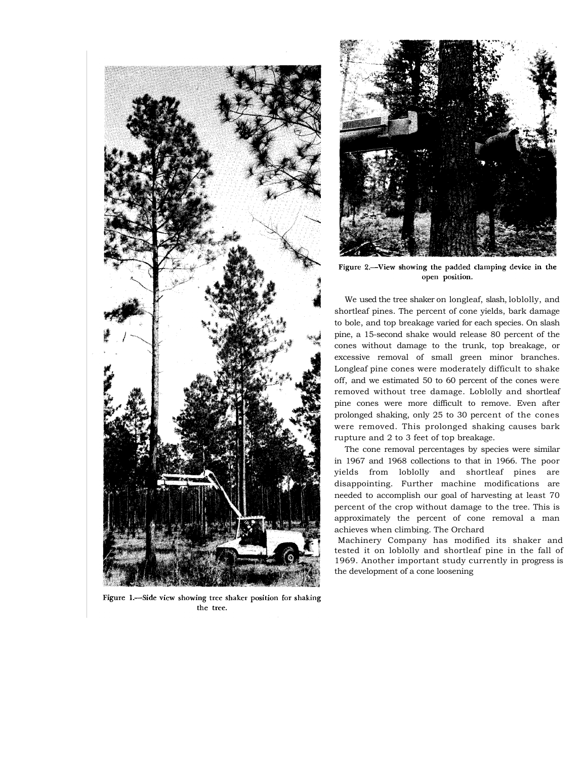

Figure 1.-Side view showing tree shaker position for shaking the tree.



Figure 2.-View showing the padded clamping device in the open position.

We used the tree shaker on longleaf, slash, loblolly, and shortleaf pines. The percent of cone yields, bark damage to bole, and top breakage varied for each species. On slash pine, a 15-second shake would release 80 percent of the cones without damage to the trunk, top breakage, or excessive removal of small green minor branches. Longleaf pine cones were moderately difficult to shake off, and we estimated 50 to 60 percent of the cones were removed without tree damage. Loblolly and shortleaf pine cones were more difficult to remove. Even after prolonged shaking, only 25 to 30 percent of the cones were removed. This prolonged shaking causes bark rupture and 2 to 3 feet of top breakage.

The cone removal percentages by species were similar in 1967 and 1968 collections to that in 1966. The poor yields from loblolly and shortleaf pines are disappointing. Further machine modifications are needed to accomplish our goal of harvesting at least 70 percent of the crop without damage to the tree. This is approximately the percent of cone removal a man achieves when climbing. The Orchard

Machinery Company has modified its shaker and tested it on loblolly and shortleaf pine in the fall of 1969. Another important study currently in progress is the development of a cone loosening